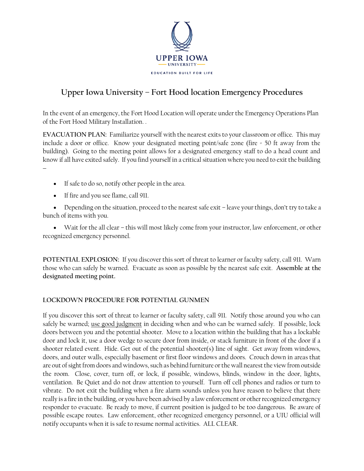

## **Upper Iowa University – Fort Hood location Emergency Procedures**

In the event of an emergency, the Fort Hood Location will operate under the Emergency Operations Plan of the Fort Hood Military Installation. .

**EVACUATION PLAN:** Familiarize yourself with the nearest exits to your classroom or office. This may include a door or office. Know your designated meeting point/safe zone (fire = 50 ft away from the building). Going to the meeting point allows for a designated emergency staff to do a head count and know if all have exited safely. If you find yourself in a critical situation where you need to exit the building  $\overline{\phantom{a}}$ 

- If safe to do so, notify other people in the area.
- If fire and you see flame, call 911.

 Depending on the situation, proceed to the nearest safe exit – leave your things, don't try to take a bunch of items with you.

 Wait for the all clear – this will most likely come from your instructor, law enforcement, or other recognized emergency personnel.

**POTENTIAL EXPLOSION:** If you discover this sort of threat to learner or faculty safety, call 911. Warn those who can safely be warned. Evacuate as soon as possible by the nearest safe exit. **Assemble at the designated meeting point.** 

## **LOCKDOWN PROCEDURE FOR POTENTIAL GUNMEN**

If you discover this sort of threat to learner or faculty safety, call 911. Notify those around you who can safely be warned; use good judgment in deciding when and who can be warned safely. If possible, lock doors between you and the potential shooter. Move to a location within the building that has a lockable door and lock it, use a door wedge to secure door from inside, or stack furniture in front of the door if a shooter related event. Hide. Get out of the potential shooter(s) line of sight. Get away from windows, doors, and outer walls, especially basement or first floor windows and doors. Crouch down in areas that are out of sight from doors and windows, such as behind furniture or the wall nearest the view from outside the room. Close, cover, turn off, or lock, if possible, windows, blinds, window in the door, lights, ventilation. Be Quiet and do not draw attention to yourself. Turn off cell phones and radios or turn to vibrate. Do not exit the building when a fire alarm sounds unless you have reason to believe that there really is a fire in the building, or you have been advised by a law enforcement or other recognized emergency responder to evacuate. Be ready to move, if current position is judged to be too dangerous. Be aware of possible escape routes. Law enforcement, other recognized emergency personnel, or a UIU official will notify occupants when it is safe to resume normal activities. ALL CLEAR.